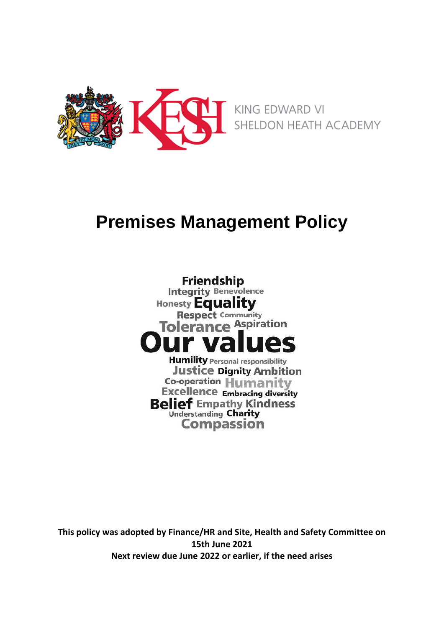

# **Premises Management Policy**

**Friendship Integrity Benevolence** Honesty **Equality Respect Community** Tolerance Aspiration **Humility Personal responsibility Justice Dignity Ambition Co-operation Humanity Excellence Embracing diversity Belief Empathy Kindness Understanding Charity Compassion** 

**This policy was adopted by Finance/HR and Site, Health and Safety Committee on 15th June 2021 Next review due June 2022 or earlier, if the need arises**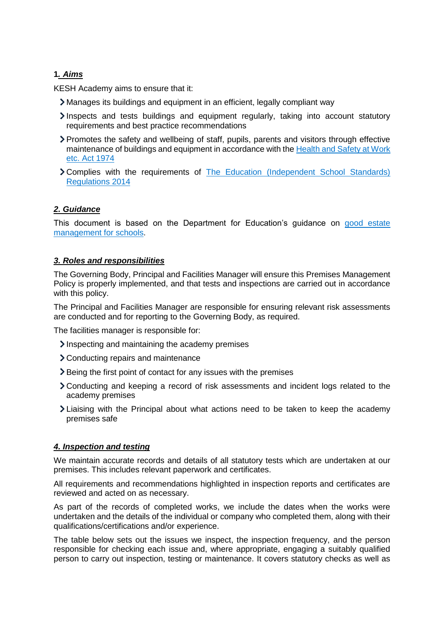## **1***. Aims*

KESH Academy aims to ensure that it:

- Manages its buildings and equipment in an efficient, legally compliant way
- Inspects and tests buildings and equipment regularly, taking into account statutory requirements and best practice recommendations
- Promotes the safety and wellbeing of staff, pupils, parents and visitors through effective maintenance of buildings and equipment in accordance with the Health and Safety at Work [etc. Act 1974](https://www.legislation.gov.uk/ukpga/1974/37/contents)
- Complies with the requirements of [The Education \(Independent School Standards\)](http://www.legislation.gov.uk/uksi/2014/3283/schedule/made)  [Regulations 2014](http://www.legislation.gov.uk/uksi/2014/3283/schedule/made)

## *2. Guidance*

This document is based on the Department for Education's guidance on good estate [management for schools.](https://www.gov.uk/guidance/good-estate-management-for-schools)

### *3. Roles and responsibilities*

The Governing Body, Principal and Facilities Manager will ensure this Premises Management Policy is properly implemented, and that tests and inspections are carried out in accordance with this policy.

The Principal and Facilities Manager are responsible for ensuring relevant risk assessments are conducted and for reporting to the Governing Body, as required.

The facilities manager is responsible for:

- Inspecting and maintaining the academy premises
- Conducting repairs and maintenance
- **>** Being the first point of contact for any issues with the premises
- Conducting and keeping a record of risk assessments and incident logs related to the academy premises
- Liaising with the Principal about what actions need to be taken to keep the academy premises safe

### *4. Inspection and testing*

We maintain accurate records and details of all statutory tests which are undertaken at our premises. This includes relevant paperwork and certificates.

All requirements and recommendations highlighted in inspection reports and certificates are reviewed and acted on as necessary.

As part of the records of completed works, we include the dates when the works were undertaken and the details of the individual or company who completed them, along with their qualifications/certifications and/or experience.

The table below sets out the issues we inspect, the inspection frequency, and the person responsible for checking each issue and, where appropriate, engaging a suitably qualified person to carry out inspection, testing or maintenance. It covers statutory checks as well as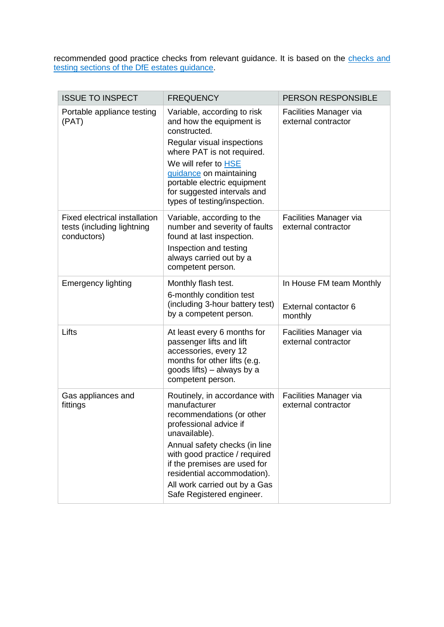recommended good practice checks from relevant guidance. It is based on the checks and [testing sections of the DfE estates guidance.](https://www.gov.uk/guidance/good-estate-management-for-schools/health-and-safety)

| <b>ISSUE TO INSPECT</b>                                                           | <b>FREQUENCY</b>                                                                                                                                                                                                                                                                                                     | PERSON RESPONSIBLE                                          |
|-----------------------------------------------------------------------------------|----------------------------------------------------------------------------------------------------------------------------------------------------------------------------------------------------------------------------------------------------------------------------------------------------------------------|-------------------------------------------------------------|
| Portable appliance testing<br>(PAT)                                               | Variable, according to risk<br>and how the equipment is<br>constructed.<br>Regular visual inspections<br>where PAT is not required.<br>We will refer to HSE<br>guidance on maintaining<br>portable electric equipment<br>for suggested intervals and<br>types of testing/inspection.                                 | Facilities Manager via<br>external contractor               |
| <b>Fixed electrical installation</b><br>tests (including lightning<br>conductors) | Variable, according to the<br>number and severity of faults<br>found at last inspection.<br>Inspection and testing<br>always carried out by a<br>competent person.                                                                                                                                                   | Facilities Manager via<br>external contractor               |
| <b>Emergency lighting</b>                                                         | Monthly flash test.<br>6-monthly condition test<br>(including 3-hour battery test)<br>by a competent person.                                                                                                                                                                                                         | In House FM team Monthly<br>External contactor 6<br>monthly |
| Lifts                                                                             | At least every 6 months for<br>passenger lifts and lift<br>accessories, every 12<br>months for other lifts (e.g.<br>goods lifts) – always by a<br>competent person.                                                                                                                                                  | Facilities Manager via<br>external contractor               |
| Gas appliances and<br>fittings                                                    | Routinely, in accordance with<br>manufacturer<br>recommendations (or other<br>professional advice if<br>unavailable).<br>Annual safety checks (in line<br>with good practice / required<br>if the premises are used for<br>residential accommodation).<br>All work carried out by a Gas<br>Safe Registered engineer. | Facilities Manager via<br>external contractor               |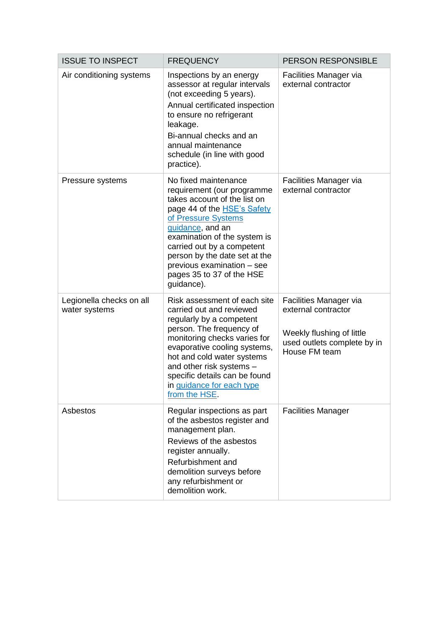| <b>ISSUE TO INSPECT</b>                   | <b>FREQUENCY</b>                                                                                                                                                                                                                                                                                                                            | PERSON RESPONSIBLE                                                                                                         |
|-------------------------------------------|---------------------------------------------------------------------------------------------------------------------------------------------------------------------------------------------------------------------------------------------------------------------------------------------------------------------------------------------|----------------------------------------------------------------------------------------------------------------------------|
| Air conditioning systems                  | Inspections by an energy<br>assessor at regular intervals<br>(not exceeding 5 years).<br>Annual certificated inspection<br>to ensure no refrigerant<br>leakage.<br>Bi-annual checks and an<br>annual maintenance<br>schedule (in line with good<br>practice).                                                                               | Facilities Manager via<br>external contractor                                                                              |
| Pressure systems                          | No fixed maintenance<br>requirement (our programme<br>takes account of the list on<br>page 44 of the <b>HSE's Safety</b><br>of Pressure Systems<br>guidance, and an<br>examination of the system is<br>carried out by a competent<br>person by the date set at the<br>previous examination - see<br>pages 35 to 37 of the HSE<br>guidance). | Facilities Manager via<br>external contractor                                                                              |
| Legionella checks on all<br>water systems | Risk assessment of each site<br>carried out and reviewed<br>regularly by a competent<br>person. The frequency of<br>monitoring checks varies for<br>evaporative cooling systems,<br>hot and cold water systems<br>and other risk systems -<br>specific details can be found<br>in quidance for each type<br>from the HSE.                   | Facilities Manager via<br>external contractor<br>Weekly flushing of little<br>used outlets complete by in<br>House FM team |
| Asbestos                                  | Regular inspections as part<br>of the asbestos register and<br>management plan.<br>Reviews of the asbestos<br>register annually.<br>Refurbishment and<br>demolition surveys before<br>any refurbishment or<br>demolition work.                                                                                                              | <b>Facilities Manager</b>                                                                                                  |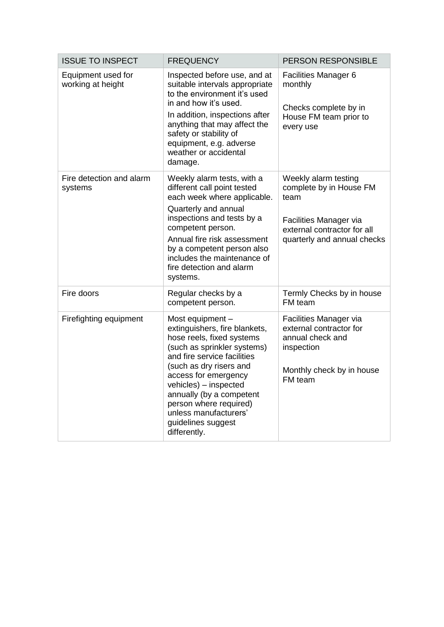| <b>ISSUE TO INSPECT</b>                 | <b>FREQUENCY</b>                                                                                                                                                                                                                                                                                                                              | <b>PERSON RESPONSIBLE</b>                                                                                                                       |
|-----------------------------------------|-----------------------------------------------------------------------------------------------------------------------------------------------------------------------------------------------------------------------------------------------------------------------------------------------------------------------------------------------|-------------------------------------------------------------------------------------------------------------------------------------------------|
| Equipment used for<br>working at height | Inspected before use, and at<br>suitable intervals appropriate<br>to the environment it's used<br>in and how it's used.<br>In addition, inspections after<br>anything that may affect the<br>safety or stability of<br>equipment, e.g. adverse<br>weather or accidental<br>damage.                                                            | Facilities Manager 6<br>monthly<br>Checks complete by in<br>House FM team prior to<br>every use                                                 |
| Fire detection and alarm<br>systems     | Weekly alarm tests, with a<br>different call point tested<br>each week where applicable.<br>Quarterly and annual<br>inspections and tests by a<br>competent person.<br>Annual fire risk assessment<br>by a competent person also<br>includes the maintenance of<br>fire detection and alarm<br>systems.                                       | Weekly alarm testing<br>complete by in House FM<br>team<br>Facilities Manager via<br>external contractor for all<br>quarterly and annual checks |
| Fire doors                              | Regular checks by a<br>competent person.                                                                                                                                                                                                                                                                                                      | Termly Checks by in house<br>FM team                                                                                                            |
| Firefighting equipment                  | Most equipment -<br>extinguishers, fire blankets,<br>hose reels, fixed systems<br>(such as sprinkler systems)<br>and fire service facilities<br>(such as dry risers and<br>access for emergency<br>vehicles) - inspected<br>annually (by a competent<br>person where required)<br>unless manufacturers'<br>guidelines suggest<br>differently. | Facilities Manager via<br>external contractor for<br>annual check and<br>inspection<br>Monthly check by in house<br>FM team                     |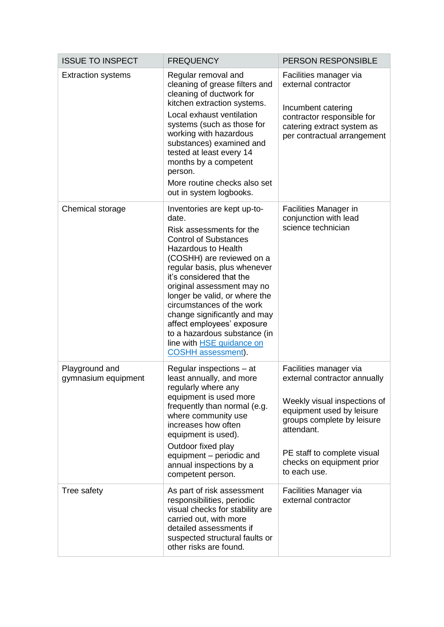| <b>ISSUE TO INSPECT</b>               | <b>FREQUENCY</b>                                                                                                                                                                                                                                                                                                                                                                                                                                                                   | PERSON RESPONSIBLE                                                                                                                                                                                                                          |
|---------------------------------------|------------------------------------------------------------------------------------------------------------------------------------------------------------------------------------------------------------------------------------------------------------------------------------------------------------------------------------------------------------------------------------------------------------------------------------------------------------------------------------|---------------------------------------------------------------------------------------------------------------------------------------------------------------------------------------------------------------------------------------------|
| <b>Extraction systems</b>             | Regular removal and<br>cleaning of grease filters and<br>cleaning of ductwork for<br>kitchen extraction systems.<br>Local exhaust ventilation<br>systems (such as those for<br>working with hazardous<br>substances) examined and<br>tested at least every 14<br>months by a competent<br>person.<br>More routine checks also set<br>out in system logbooks.                                                                                                                       | Facilities manager via<br>external contractor<br>Incumbent catering<br>contractor responsible for<br>catering extract system as<br>per contractual arrangement                                                                              |
| Chemical storage                      | Inventories are kept up-to-<br>date.<br>Risk assessments for the<br><b>Control of Substances</b><br><b>Hazardous to Health</b><br>(COSHH) are reviewed on a<br>regular basis, plus whenever<br>it's considered that the<br>original assessment may no<br>longer be valid, or where the<br>circumstances of the work<br>change significantly and may<br>affect employees' exposure<br>to a hazardous substance (in<br>line with <b>HSE</b> guidance on<br><b>COSHH</b> assessment). | Facilities Manager in<br>conjunction with lead<br>science technician                                                                                                                                                                        |
| Playground and<br>gymnasium equipment | Regular inspections – at<br>least annually, and more<br>regularly where any<br>equipment is used more<br>frequently than normal (e.g.<br>where community use<br>increases how often<br>equipment is used).<br>Outdoor fixed play<br>equipment - periodic and<br>annual inspections by a<br>competent person.                                                                                                                                                                       | Facilities manager via<br>external contractor annually<br>Weekly visual inspections of<br>equipment used by leisure<br>groups complete by leisure<br>attendant.<br>PE staff to complete visual<br>checks on equipment prior<br>to each use. |
| Tree safety                           | As part of risk assessment<br>responsibilities, periodic<br>visual checks for stability are<br>carried out, with more<br>detailed assessments if<br>suspected structural faults or<br>other risks are found.                                                                                                                                                                                                                                                                       | Facilities Manager via<br>external contractor                                                                                                                                                                                               |